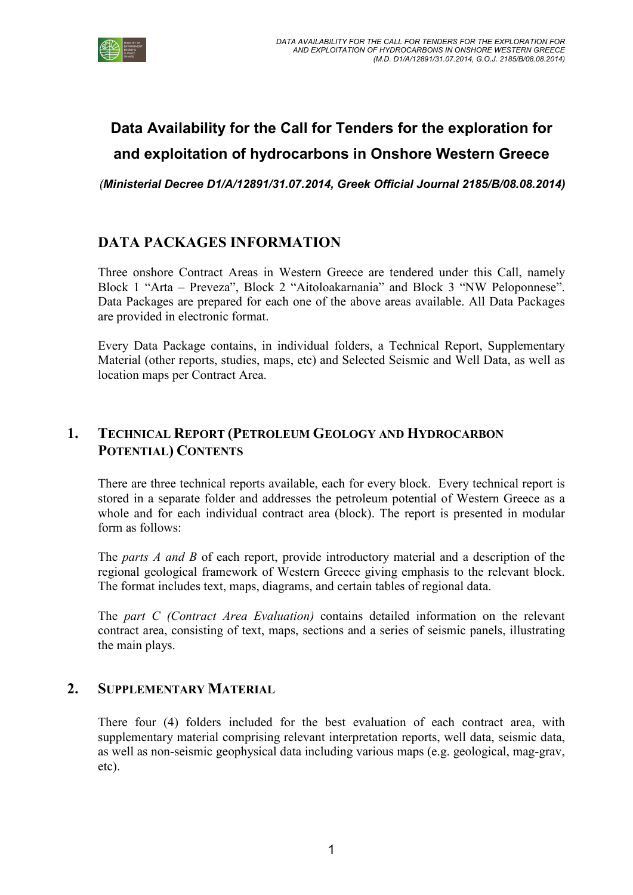

# Data Availability for the Call for Tenders for the exploration for and exploitation of hydrocarbons in Onshore Western Greece

(Ministerial Decree D1/Α/12891/31.07.2014, Greek Official Journal 2185/B/08.08.2014)

# DATA PACKAGES INFORMATION

Three onshore Contract Areas in Western Greece are tendered under this Call, namely Block 1 "Arta – Preveza", Block 2 "Aitoloakarnania" and Block 3 "NW Peloponnese". Data Packages are prepared for each one of the above areas available. All Data Packages are provided in electronic format.

Every Data Package contains, in individual folders, a Technical Report, Supplementary Material (other reports, studies, maps, etc) and Selected Seismic and Well Data, as well as location maps per Contract Area.

# 1. TECHNICAL REPORT (PETROLEUM GEOLOGY AND HYDROCARBON POTENTIAL) CONTENTS

There are three technical reports available, each for every block. Every technical report is stored in a separate folder and addresses the petroleum potential of Western Greece as a whole and for each individual contract area (block). The report is presented in modular form as follows:

The *parts A and B* of each report, provide introductory material and a description of the regional geological framework of Western Greece giving emphasis to the relevant block. The format includes text, maps, diagrams, and certain tables of regional data.

The part C (Contract Area Evaluation) contains detailed information on the relevant contract area, consisting of text, maps, sections and a series of seismic panels, illustrating the main plays.

### 2. SUPPLEMENTARY MATERIAL

There four (4) folders included for the best evaluation of each contract area, with supplementary material comprising relevant interpretation reports, well data, seismic data, as well as non-seismic geophysical data including various maps (e.g. geological, mag-grav, etc).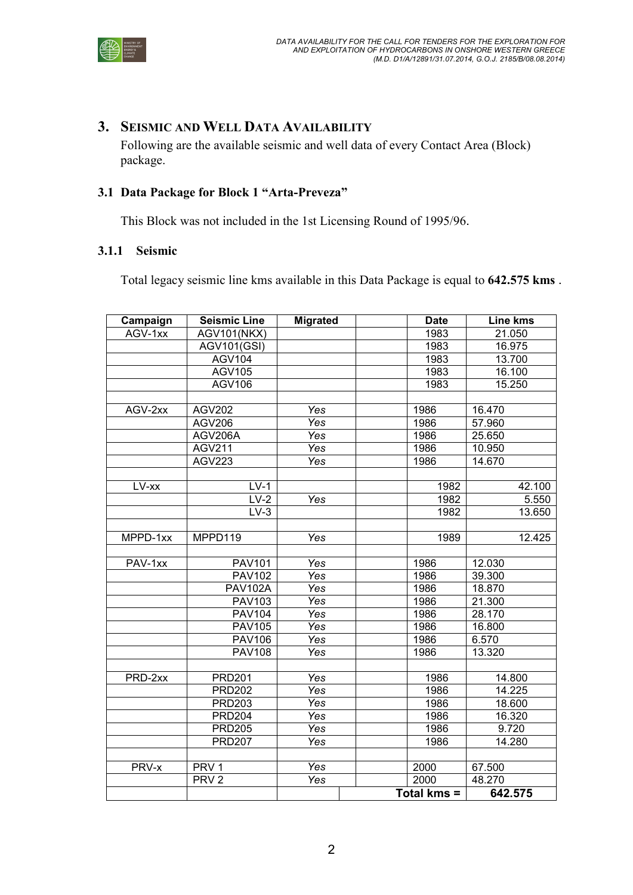

### 3. SEISMIC AND WELL DATA AVAILABILITY

Following are the available seismic and well data of every Contact Area (Block) package.

#### 3.1 Data Package for Block 1 "Arta-Preveza"

This Block was not included in the 1st Licensing Round of 1995/96.

#### 3.1.1 Seismic

Total legacy seismic line kms available in this Data Package is equal to 642.575 kms .

| Campaign | <b>Seismic Line</b> | <b>Migrated</b> | <b>Date</b> | <b>Line kms</b> |
|----------|---------------------|-----------------|-------------|-----------------|
| AGV-1xx  | <b>AGV101(NKX)</b>  |                 | 1983        | 21.050          |
|          | <b>AGV101(GSI)</b>  |                 | 1983        | 16.975          |
|          | <b>AGV104</b>       |                 | 1983        | 13.700          |
|          | <b>AGV105</b>       |                 | 1983        | 16.100          |
|          | AGV106              |                 | 1983        | 15.250          |
|          |                     |                 |             |                 |
| AGV-2xx  | <b>AGV202</b>       | Yes             | 1986        | 16.470          |
|          | <b>AGV206</b>       | Yes             | 1986        | 57.960          |
|          | AGV206A             | Yes             | 1986        | 25.650          |
|          | <b>AGV211</b>       | Yes             | 1986        | 10.950          |
|          | <b>AGV223</b>       | Yes             | 1986        | 14.670          |
|          |                     |                 |             |                 |
| LV-xx    | $LV-1$              |                 | 1982        | 42.100          |
|          | $LV-2$              | Yes             | 1982        | 5.550           |
|          | $LV-3$              |                 | 1982        | 13.650          |
|          |                     |                 |             |                 |
| MPPD-1xx | MPPD119             | Yes             | 1989        | 12.425          |
|          |                     |                 |             |                 |
| PAV-1xx  | <b>PAV101</b>       | Yes             | 1986        | 12.030          |
|          | <b>PAV102</b>       | Yes             | 1986        | 39.300          |
|          | <b>PAV102A</b>      | Yes             | 1986        | 18.870          |
|          | <b>PAV103</b>       | Yes             | 1986        | 21.300          |
|          | <b>PAV104</b>       | Yes             | 1986        | 28.170          |
|          | <b>PAV105</b>       | Yes             | 1986        | 16.800          |
|          | <b>PAV106</b>       | Yes             | 1986        | 6.570           |
|          | <b>PAV108</b>       | Yes             | 1986        | 13.320          |
|          |                     |                 |             |                 |
| PRD-2xx  | <b>PRD201</b>       | Yes             | 1986        | 14.800          |
|          | <b>PRD202</b>       | Yes             | 1986        | 14.225          |
|          | <b>PRD203</b>       | Yes             | 1986        | 18.600          |
|          | <b>PRD204</b>       | Yes             | 1986        | 16.320          |
|          | <b>PRD205</b>       | Yes             | 1986        | 9.720           |
|          | <b>PRD207</b>       | Yes             | 1986        | 14.280          |
|          |                     |                 |             |                 |
| PRV-x    | PRV <sub>1</sub>    | Yes             | 2000        | 67.500          |
|          | PRV <sub>2</sub>    | Yes             | 2000        | 48.270          |
|          |                     |                 | Total kms = | 642.575         |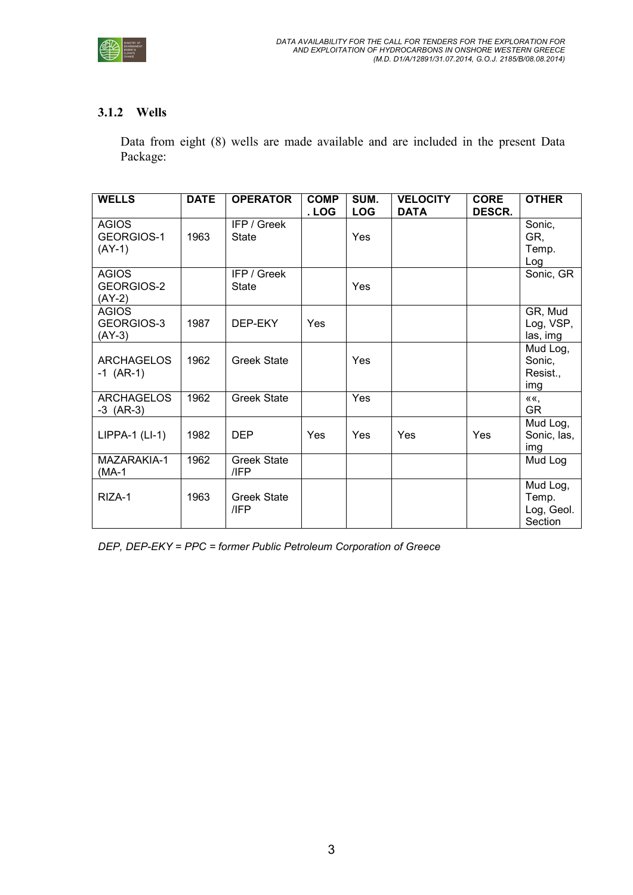

#### 3.1.2 Wells

Data from eight (8) wells are made available and are included in the present Data Package:

| <b>WELLS</b>                           | <b>DATE</b> | <b>OPERATOR</b>             | <b>COMP</b><br>. LOG | SUM.<br><b>LOG</b> | <b>VELOCITY</b><br><b>DATA</b> | <b>CORE</b><br><b>DESCR.</b> | <b>OTHER</b>                               |
|----------------------------------------|-------------|-----------------------------|----------------------|--------------------|--------------------------------|------------------------------|--------------------------------------------|
| <b>AGIOS</b><br>GEORGIOS-1<br>$(AY-1)$ | 1963        | IFP / Greek<br><b>State</b> |                      | Yes                |                                |                              | Sonic,<br>GR,<br>Temp.<br>Log              |
| <b>AGIOS</b><br>GEORGIOS-2<br>$(AY-2)$ |             | IFP / Greek<br><b>State</b> |                      | Yes                |                                |                              | Sonic, GR                                  |
| <b>AGIOS</b><br>GEORGIOS-3<br>$(AY-3)$ | 1987        | DEP-EKY                     | Yes                  |                    |                                |                              | GR, Mud<br>Log, VSP,<br>las, img           |
| <b>ARCHAGELOS</b><br>$-1$ (AR-1)       | 1962        | <b>Greek State</b>          |                      | Yes                |                                |                              | Mud Log,<br>Sonic,<br>Resist.,<br>img      |
| <b>ARCHAGELOS</b><br>$-3$ (AR-3)       | 1962        | <b>Greek State</b>          |                      | Yes                |                                |                              | ««.<br><b>GR</b>                           |
| $LIPPA-1$ ( $LI-1$ )                   | 1982        | <b>DEP</b>                  | Yes                  | Yes                | Yes                            | Yes                          | Mud Log,<br>Sonic, las,<br>img             |
| MAZARAKIA-1<br>(MA-1                   | 1962        | <b>Greek State</b><br>/IFP  |                      |                    |                                |                              | Mud Log                                    |
| RIZA-1                                 | 1963        | <b>Greek State</b><br>/IFP  |                      |                    |                                |                              | Mud Log,<br>Temp.<br>Log, Geol.<br>Section |

DEP, DEP-EKY = PPC = former Public Petroleum Corporation of Greece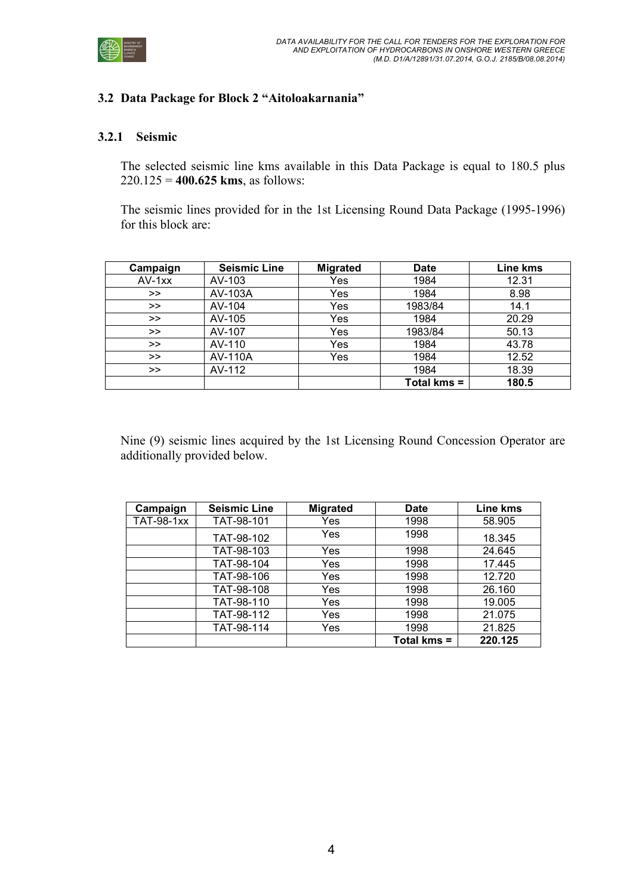

#### 3.2 Data Package for Block 2 "Aitoloakarnania"

#### 3.2.1 Seismic

The selected seismic line kms available in this Data Package is equal to 180.5 plus  $220.125 = 400.625$  kms, as follows:

The seismic lines provided for in the 1st Licensing Round Data Package (1995-1996) for this block are:

| Campaign | <b>Seismic Line</b> | <b>Migrated</b> | <b>Date</b> | Line kms |
|----------|---------------------|-----------------|-------------|----------|
| $AV-1xx$ | AV-103              | Yes             | 1984        | 12.31    |
| >        | AV-103A             | Yes             | 1984        | 8.98     |
| >>       | AV-104              | Yes             | 1983/84     | 14.1     |
| >>       | AV-105              | Yes             | 1984        | 20.29    |
| >>       | AV-107              | Yes             | 1983/84     | 50.13    |
| >>       | AV-110              | Yes             | 1984        | 43.78    |
| >>       | <b>AV-110A</b>      | Yes             | 1984        | 12.52    |
| >>       | AV-112              |                 | 1984        | 18.39    |
|          |                     |                 | Total kms = | 180.5    |

Nine (9) seismic lines acquired by the 1st Licensing Round Concession Operator are additionally provided below.

| Campaign          | <b>Seismic Line</b> | <b>Migrated</b> | <b>Date</b> | Line kms |
|-------------------|---------------------|-----------------|-------------|----------|
| <b>TAT-98-1xx</b> | TAT-98-101          | Yes             | 1998        | 58.905   |
|                   | TAT-98-102          | Yes             | 1998        | 18.345   |
|                   | TAT-98-103          | Yes             | 1998        | 24.645   |
|                   | TAT-98-104          | Yes             | 1998        | 17.445   |
|                   | TAT-98-106          | Yes             | 1998        | 12.720   |
|                   | TAT-98-108          | Yes             | 1998        | 26.160   |
|                   | TAT-98-110          | Yes             | 1998        | 19.005   |
|                   | TAT-98-112          | Yes             | 1998        | 21.075   |
|                   | TAT-98-114          | Yes             | 1998        | 21.825   |
|                   |                     |                 | Total kms = | 220.125  |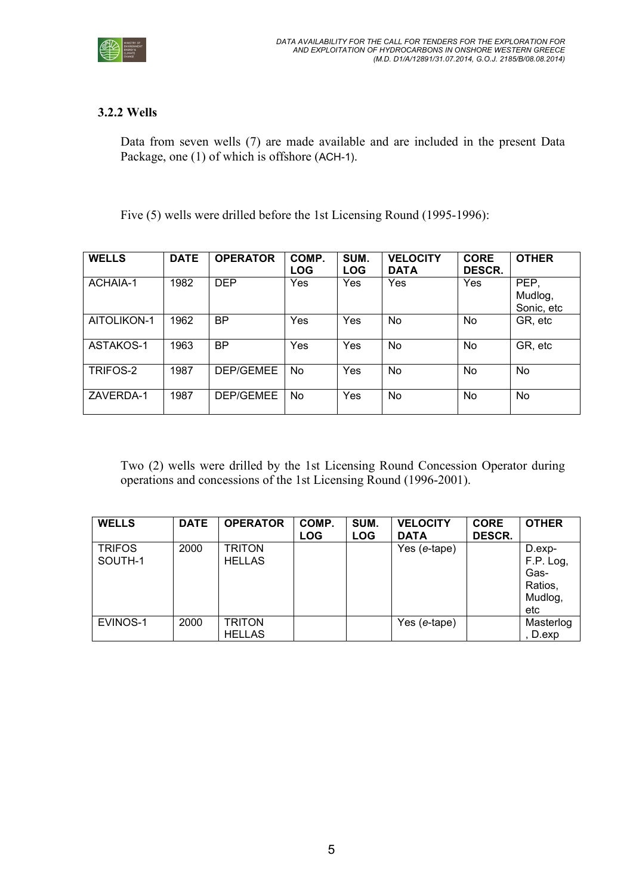

### 3.2.2 Wells

Data from seven wells (7) are made available and are included in the present Data Package, one (1) of which is offshore (ACH-1).

Five (5) wells were drilled before the 1st Licensing Round (1995-1996):

| <b>WELLS</b> | <b>DATE</b> | <b>OPERATOR</b> | COMP.<br><b>LOG</b> | SUM.<br><b>LOG</b> | <b>VELOCITY</b><br><b>DATA</b> | <b>CORE</b><br>DESCR. | <b>OTHER</b>                  |
|--------------|-------------|-----------------|---------------------|--------------------|--------------------------------|-----------------------|-------------------------------|
| ACHAIA-1     | 1982        | <b>DEP</b>      | Yes                 | Yes                | Yes                            | Yes                   | PEP,<br>Mudlog,<br>Sonic, etc |
| AITOLIKON-1  | 1962        | ВP              | Yes                 | Yes                | No                             | No                    | GR, etc                       |
| ASTAKOS-1    | 1963        | ВP              | Yes                 | Yes                | No                             | No                    | GR, etc                       |
| TRIFOS-2     | 1987        | DEP/GEMEE       | No.                 | Yes                | No                             | No                    | No                            |
| ZAVERDA-1    | 1987        | DEP/GEMEE       | No.                 | Yes                | No                             | No                    | No.                           |

Two (2) wells were drilled by the 1st Licensing Round Concession Operator during operations and concessions of the 1st Licensing Round (1996-2001).

| <b>WELLS</b>             | <b>DATE</b> | <b>OPERATOR</b>                | COMP.<br><b>LOG</b> | SUM.<br><b>LOG</b> | <b>VELOCITY</b><br><b>DATA</b> | <b>CORE</b><br>DESCR. | <b>OTHER</b>                                             |
|--------------------------|-------------|--------------------------------|---------------------|--------------------|--------------------------------|-----------------------|----------------------------------------------------------|
| <b>TRIFOS</b><br>SOUTH-1 | 2000        | <b>TRITON</b><br><b>HELLAS</b> |                     |                    | Yes (e-tape)                   |                       | D.exp-<br>F.P. Log,<br>Gas-<br>Ratios,<br>Mudlog,<br>etc |
| EVINOS-1                 | 2000        | <b>TRITON</b><br><b>HELLAS</b> |                     |                    | Yes (e-tape)                   |                       | Masterlog<br>D.exp                                       |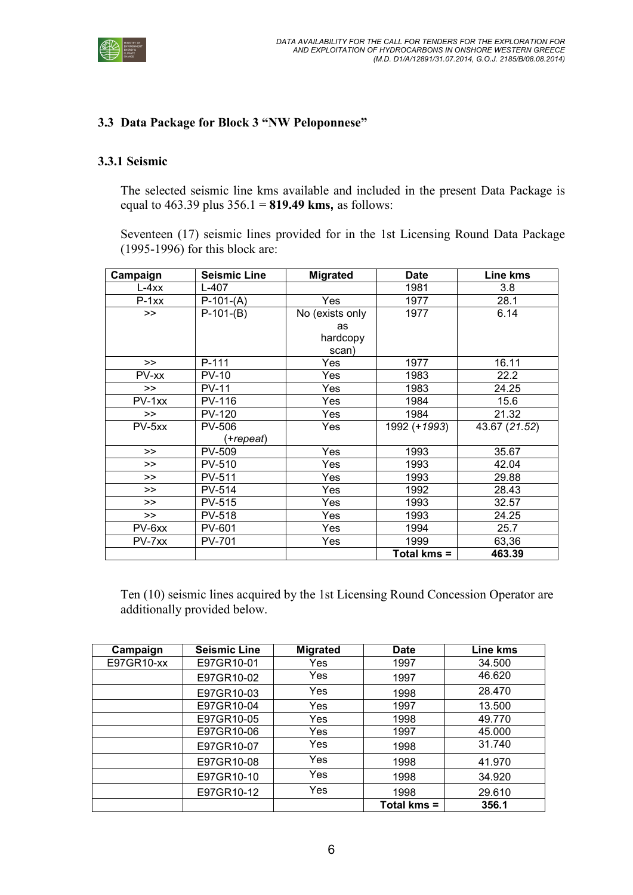

#### 3.3 Data Package for Block 3 "NW Peloponnese"

#### 3.3.1 Seismic

The selected seismic line kms available and included in the present Data Package is equal to  $463.39$  plus  $356.1 = 819.49$  kms, as follows:

Seventeen (17) seismic lines provided for in the 1st Licensing Round Data Package (1995-1996) for this block are:

| Campaign | <b>Seismic Line</b> | <b>Migrated</b> | <b>Date</b>  | Line kms      |
|----------|---------------------|-----------------|--------------|---------------|
| $L-4xx$  | L-407               |                 | 1981         | 3.8           |
| $P-1xx$  | $P-101-(A)$         | Yes             | 1977         | 28.1          |
| >        | $P-101-(B)$         | No (exists only | 1977         | 6.14          |
|          |                     | as              |              |               |
|          |                     | hardcopy        |              |               |
|          |                     | scan)           |              |               |
| >        | $P-111$             | Yes             | 1977         | 16.11         |
| PV-xx    | $PV-10$             | Yes             | 1983         | 22.2          |
| $\gt$    | $PV-11$             | Yes             | 1983         | 24.25         |
| $PV-1xx$ | PV-116              | Yes             | 1984         | 15.6          |
| >        | <b>PV-120</b>       | Yes             | 1984         | 21.32         |
| $PV-5xx$ | <b>PV-506</b>       | Yes             | 1992 (+1993) | 43.67 (21.52) |
|          | (+repeat)           |                 |              |               |
| >>       | PV-509              | Yes             | 1993         | 35.67         |
| >        | PV-510              | Yes             | 1993         | 42.04         |
| >>       | PV-511              | Yes             | 1993         | 29.88         |
| $\gt$    | <b>PV-514</b>       | Yes             | 1992         | 28.43         |
| >>       | <b>PV-515</b>       | Yes             | 1993         | 32.57         |
| >        | <b>PV-518</b>       | Yes             | 1993         | 24.25         |
| $PV-6xx$ | <b>PV-601</b>       | <b>Yes</b>      | 1994         | 25.7          |
| PV-7xx   | PV-701              | Yes             | 1999         | 63,36         |
|          |                     |                 | Total kms =  | 463.39        |

Ten (10) seismic lines acquired by the 1st Licensing Round Concession Operator are additionally provided below.

| Campaign   | <b>Seismic Line</b> | <b>Migrated</b> | <b>Date</b> | Line kms |
|------------|---------------------|-----------------|-------------|----------|
| E97GR10-xx | E97GR10-01          | Yes             | 1997        | 34.500   |
|            | E97GR10-02          | Yes             | 1997        | 46.620   |
|            | E97GR10-03          | Yes             | 1998        | 28.470   |
|            | E97GR10-04          | Yes             | 1997        | 13.500   |
|            | E97GR10-05          | Yes             | 1998        | 49.770   |
|            | E97GR10-06          | Yes             | 1997        | 45.000   |
|            | E97GR10-07          | Yes             | 1998        | 31.740   |
|            | E97GR10-08          | Yes             | 1998        | 41.970   |
|            | E97GR10-10          | Yes             | 1998        | 34.920   |
|            | E97GR10-12          | Yes             | 1998        | 29.610   |
|            |                     |                 | Total kms = | 356.1    |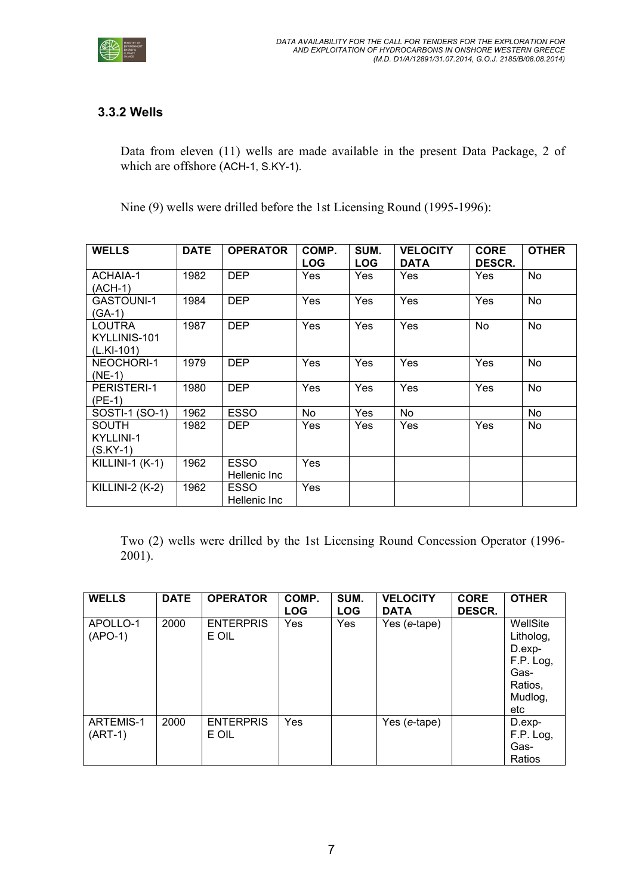

### 3.3.2 Wells

Data from eleven (11) wells are made available in the present Data Package, 2 of which are offshore (ACH-1, S.KY-1).

Nine (9) wells were drilled before the 1st Licensing Round (1995-1996):

| <b>WELLS</b>                            | <b>DATE</b> | <b>OPERATOR</b>             | COMP.<br><b>LOG</b> | SUM.<br><b>LOG</b> | <b>VELOCITY</b><br><b>DATA</b> | <b>CORE</b><br>DESCR. | <b>OTHER</b> |
|-----------------------------------------|-------------|-----------------------------|---------------------|--------------------|--------------------------------|-----------------------|--------------|
| ACHAIA-1<br>(ACH-1)                     | 1982        | <b>DEP</b>                  | Yes                 | <b>Yes</b>         | Yes                            | <b>Yes</b>            | No           |
| <b>GASTOUNI-1</b><br>$(GA-1)$           | 1984        | <b>DEP</b>                  | Yes                 | Yes                | Yes                            | Yes                   | No           |
| LOUTRA<br>KYLLINIS-101<br>$(L.KI-101)$  | 1987        | <b>DEP</b>                  | Yes                 | Yes                | Yes                            | <b>No</b>             | <b>No</b>    |
| NEOCHORI-1<br>$(NE-1)$                  | 1979        | <b>DEP</b>                  | Yes                 | Yes                | Yes                            | Yes                   | No           |
| <b>PERISTERI-1</b><br>$(PE-1)$          | 1980        | <b>DEP</b>                  | Yes                 | Yes                | Yes                            | Yes                   | No           |
| SOSTI-1 (SO-1)                          | 1962        | <b>ESSO</b>                 | No.                 | Yes                | No                             |                       | No           |
| <b>SOUTH</b><br>KYLLINI-1<br>$(S.KY-1)$ | 1982        | DEP                         | Yes                 | Yes                | Yes                            | <b>Yes</b>            | No           |
| <b>KILLINI-1 (K-1)</b>                  | 1962        | <b>ESSO</b><br>Hellenic Inc | Yes                 |                    |                                |                       |              |
| <b>KILLINI-2 (K-2)</b>                  | 1962        | ESSO<br>Hellenic Inc        | Yes                 |                    |                                |                       |              |

Two (2) wells were drilled by the 1st Licensing Round Concession Operator (1996- 2001).

| <b>WELLS</b>                  | <b>DATE</b> | <b>OPERATOR</b>           | COMP.<br><b>LOG</b> | SUM.<br><b>LOG</b> | <b>VELOCITY</b><br><b>DATA</b> | <b>CORE</b><br>DESCR. | <b>OTHER</b>                                                                         |
|-------------------------------|-------------|---------------------------|---------------------|--------------------|--------------------------------|-----------------------|--------------------------------------------------------------------------------------|
| APOLLO-1<br>$(APO-1)$         | 2000        | <b>ENTERPRIS</b><br>E OIL | Yes                 | Yes                | Yes (e-tape)                   |                       | WellSite<br>Litholog,<br>$D. exp-$<br>F.P. Log,<br>Gas-<br>Ratios,<br>Mudlog,<br>etc |
| <b>ARTEMIS-1</b><br>$(ART-1)$ | 2000        | <b>ENTERPRIS</b><br>E OIL | Yes                 |                    | Yes (e-tape)                   |                       | D.exp-<br>F.P. Log,<br>Gas-<br>Ratios                                                |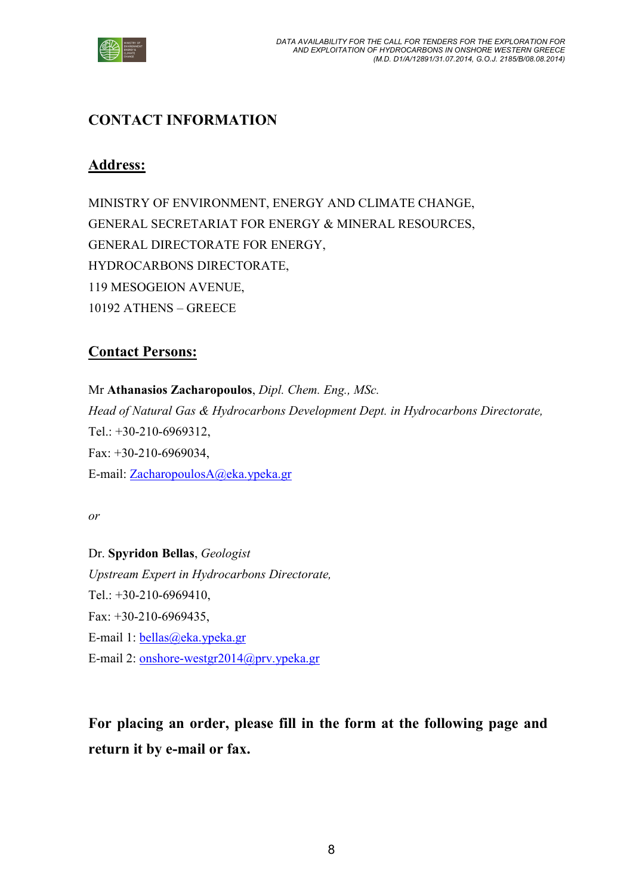

# CONTACT INFORMATION

# Address:

MINISTRY OF ENVIRONMENT, ENERGY AND CLIMATE CHANGE, GENERAL SECRETARIAT FOR ENERGY & MINERAL RESOURCES, GENERAL DIRECTORATE FOR ENERGY, HYDROCARBONS DIRECTORATE, 119 MESOGEION AVENUE, 10192 ATHENS – GREECE

# Contact Persons:

Mr Athanasios Zacharopoulos, Dipl. Chem. Eng., MSc. Head of Natural Gas & Hydrocarbons Development Dept. in Hydrocarbons Directorate, Tel.: +30-210-6969312, Fax: +30-210-6969034, E-mail: ZacharopoulosA@eka.ypeka.gr

or

Dr. Spyridon Bellas, Geologist Upstream Expert in Hydrocarbons Directorate, Tel.: +30-210-6969410, Fax: +30-210-6969435, E-mail 1: bellas@eka.ypeka.gr E-mail 2: onshore-westgr2014@prv.ypeka.gr

For placing an order, please fill in the form at the following page and return it by e-mail or fax.